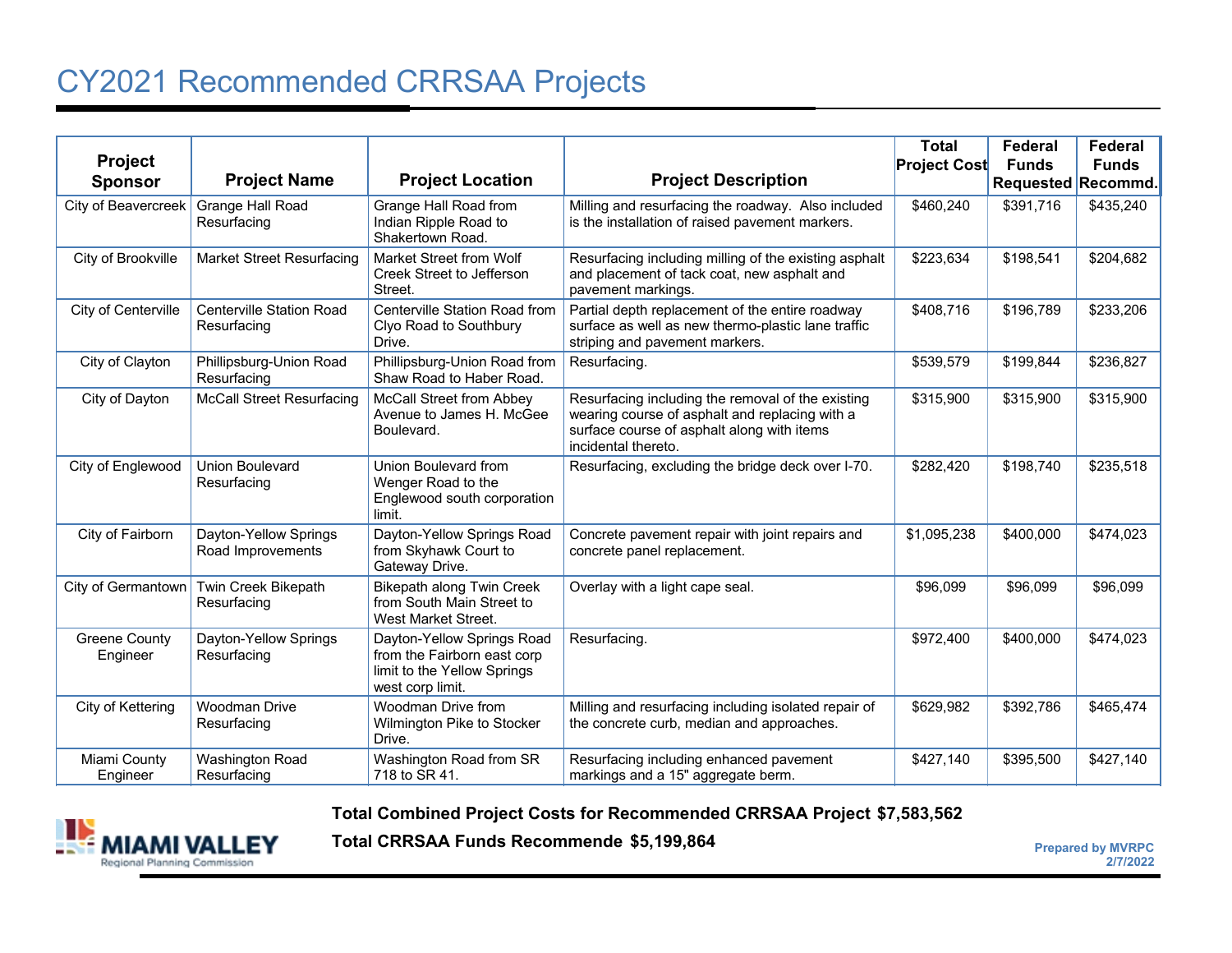## CY2021 Recommended CRRSAA Projects

| <b>Project</b><br><b>Sponsor</b> | <b>Project Name</b>                            | <b>Project Location</b>                                                                                      | <b>Project Description</b>                                                                                                                                               | <b>Total</b><br><b>Project Cost</b> | Federal<br><b>Funds</b><br>Requested Recommd. | Federal<br><b>Funds</b> |
|----------------------------------|------------------------------------------------|--------------------------------------------------------------------------------------------------------------|--------------------------------------------------------------------------------------------------------------------------------------------------------------------------|-------------------------------------|-----------------------------------------------|-------------------------|
| City of Beavercreek              | Grange Hall Road<br>Resurfacing                | Grange Hall Road from<br>Indian Ripple Road to<br>Shakertown Road.                                           | Milling and resurfacing the roadway. Also included<br>is the installation of raised pavement markers.                                                                    | \$460,240                           | \$391,716                                     | \$435,240               |
| City of Brookville               | <b>Market Street Resurfacing</b>               | Market Street from Wolf<br>Creek Street to Jefferson<br>Street.                                              | Resurfacing including milling of the existing asphalt<br>and placement of tack coat, new asphalt and<br>pavement markings.                                               | \$223,634                           | \$198,541                                     | \$204,682               |
| City of Centerville              | <b>Centerville Station Road</b><br>Resurfacing | Centerville Station Road from<br>Clyo Road to Southbury<br>Drive.                                            | Partial depth replacement of the entire roadway<br>surface as well as new thermo-plastic lane traffic<br>striping and pavement markers.                                  | \$408,716                           | \$196,789                                     | \$233,206               |
| City of Clayton                  | Phillipsburg-Union Road<br>Resurfacing         | Phillipsburg-Union Road from<br>Shaw Road to Haber Road.                                                     | Resurfacing.                                                                                                                                                             | \$539,579                           | \$199,844                                     | \$236,827               |
| City of Dayton                   | <b>McCall Street Resurfacing</b>               | McCall Street from Abbey<br>Avenue to James H. McGee<br>Boulevard.                                           | Resurfacing including the removal of the existing<br>wearing course of asphalt and replacing with a<br>surface course of asphalt along with items<br>incidental thereto. | \$315,900                           | \$315,900                                     | \$315,900               |
| City of Englewood                | Union Boulevard<br>Resurfacing                 | Union Boulevard from<br>Wenger Road to the<br>Englewood south corporation<br>limit.                          | Resurfacing, excluding the bridge deck over I-70.                                                                                                                        | \$282,420                           | \$198,740                                     | \$235,518               |
| City of Fairborn                 | Dayton-Yellow Springs<br>Road Improvements     | Dayton-Yellow Springs Road<br>from Skyhawk Court to<br>Gateway Drive.                                        | Concrete pavement repair with joint repairs and<br>concrete panel replacement.                                                                                           | \$1,095,238                         | \$400,000                                     | \$474,023               |
| City of Germantown               | Twin Creek Bikepath<br>Resurfacing             | <b>Bikepath along Twin Creek</b><br>from South Main Street to<br>West Market Street.                         | Overlay with a light cape seal.                                                                                                                                          | \$96,099                            | \$96,099                                      | \$96,099                |
| <b>Greene County</b><br>Engineer | Dayton-Yellow Springs<br>Resurfacing           | Dayton-Yellow Springs Road<br>from the Fairborn east corp<br>limit to the Yellow Springs<br>west corp limit. | Resurfacing.                                                                                                                                                             | \$972,400                           | \$400,000                                     | \$474,023               |
| City of Kettering                | <b>Woodman Drive</b><br>Resurfacing            | Woodman Drive from<br>Wilmington Pike to Stocker<br>Drive.                                                   | Milling and resurfacing including isolated repair of<br>the concrete curb, median and approaches.                                                                        | \$629,982                           | \$392,786                                     | \$465,474               |
| Miami County<br>Engineer         | Washington Road<br>Resurfacing                 | Washington Road from SR<br>718 to SR 41.                                                                     | Resurfacing including enhanced pavement<br>markings and a 15" aggregate berm.                                                                                            | \$427,140                           | \$395,500                                     | \$427,140               |

**Total Combined Project Costs for Recommended CRRSAA Project \$7,583,562**



**Total CRRSAA Funds Recommende**